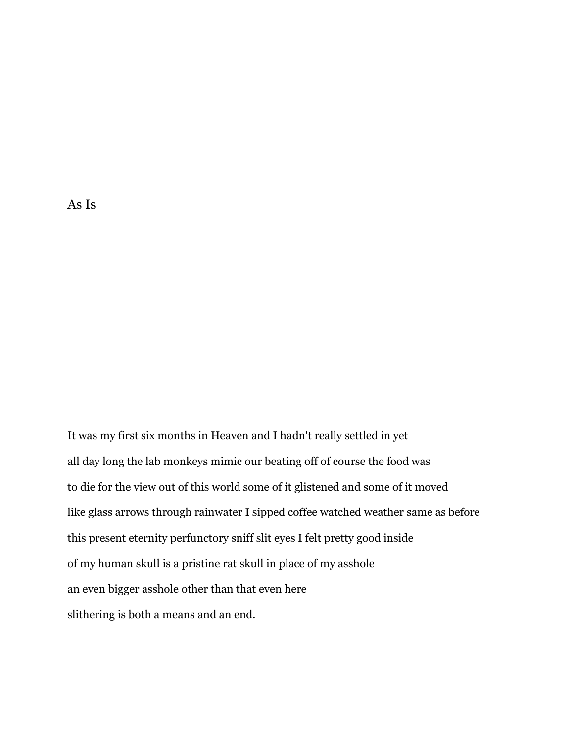As Is

It was my first six months in Heaven and I hadn't really settled in yet all day long the lab monkeys mimic our beating off of course the food was to die for the view out of this world some of it glistened and some of it moved like glass arrows through rainwater I sipped coffee watched weather same as before this present eternity perfunctory sniff slit eyes I felt pretty good inside of my human skull is a pristine rat skull in place of my asshole an even bigger asshole other than that even here slithering is both a means and an end.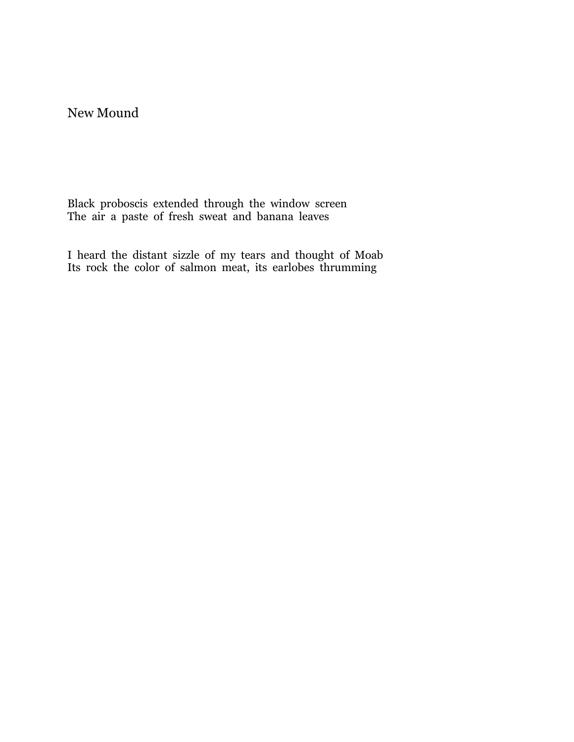## New Mound

Black proboscis extended through the window screen The air a paste of fresh sweat and banana leaves

I heard the distant sizzle of my tears and thought of Moab Its rock the color of salmon meat, its earlobes thrumming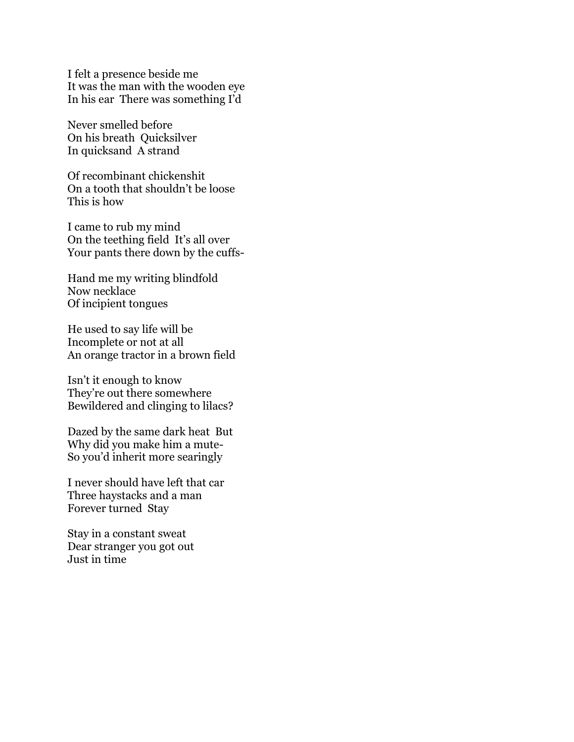I felt a presence beside me It was the man with the wooden eye In his ear There was something I'd

Never smelled before On his breath Quicksilver In quicksand A strand

Of recombinant chickenshit On a tooth that shouldn't be loose This is how

I came to rub my mind On the teething field It's all over Your pants there down by the cuffs-

Hand me my writing blindfold Now necklace Of incipient tongues

He used to say life will be Incomplete or not at all An orange tractor in a brown field

Isn't it enough to know They're out there somewhere Bewildered and clinging to lilacs?

Dazed by the same dark heat But Why did you make him a mute-So you'd inherit more searingly

I never should have left that car Three haystacks and a man Forever turned Stay

Stay in a constant sweat Dear stranger you got out Just in time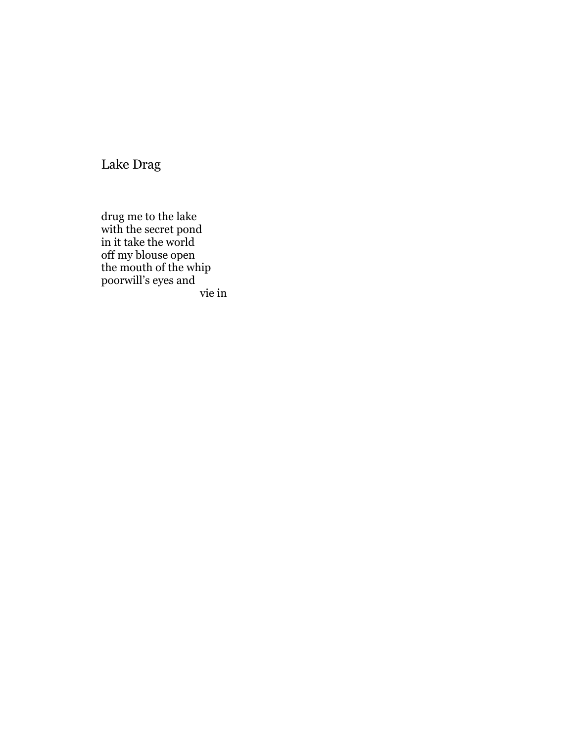Lake Drag

drug me to the lake with the secret pond in it take the world off my blouse open the mouth of the whip poorwill's eyes and vie in